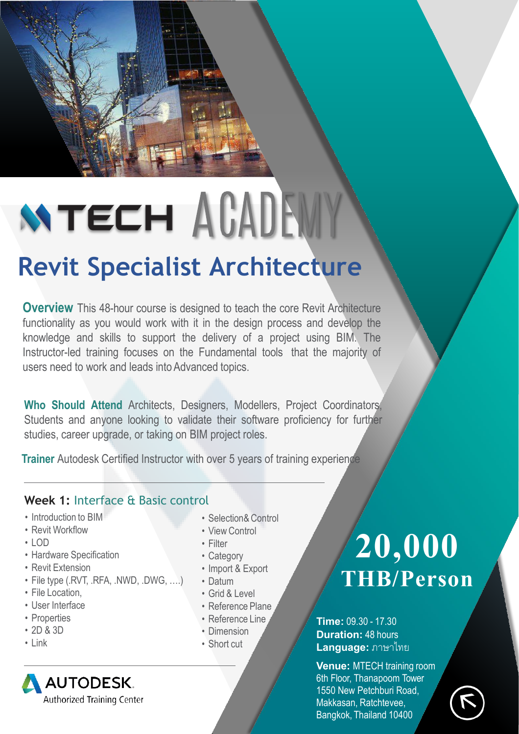# **WTECH AGADEWY Revit Specialist Architecture**

**Overview** This 48-hour course is designed to teach the core Revit Architecture functionality as you would work with it in the design process and develop the knowledge and skills to support the delivery of a project using BIM. The Instructor-led training focuses on the Fundamental tools that the majority of users need to work and leads into Advanced topics.

**Who Should Attend** Architects, Designers, Modellers, Project Coordinators, Students and anyone looking to validate their software proficiency for further studies, career upgrade, or taking on BIM project roles.

**Trainer** Autodesk Certified Instructor with over 5 years of training experience

## **Week 1:** Interface & Basic control

- Introduction to BIM
- Revit Workflow
- LOD
- Hardware Specification
- Revit Extension
- File type (.RVT, .RFA, .NWD, .DWG, ….)
- File Location,
- User Interface
- Properties
- 2D & 3D
- Link
- Selection& Control
- View Control
- Filter
- Category
- Import & Export
- Datum
- Grid & Level
- Reference Plane
- Reference Line
- Dimension
- Short cut

## **20,000 THB/Person**

### **Time:** 09.30 - 17.30 **Duration:** 48 hours **Language:** ภาษาไทย

**Venue:** MTECH training room 6th Floor, Thanapoom Tower 1550 New Petchburi Road, Makkasan, Ratchtevee, Bangkok, Thailand 10400

**AUTODESK** Authorized Training Center